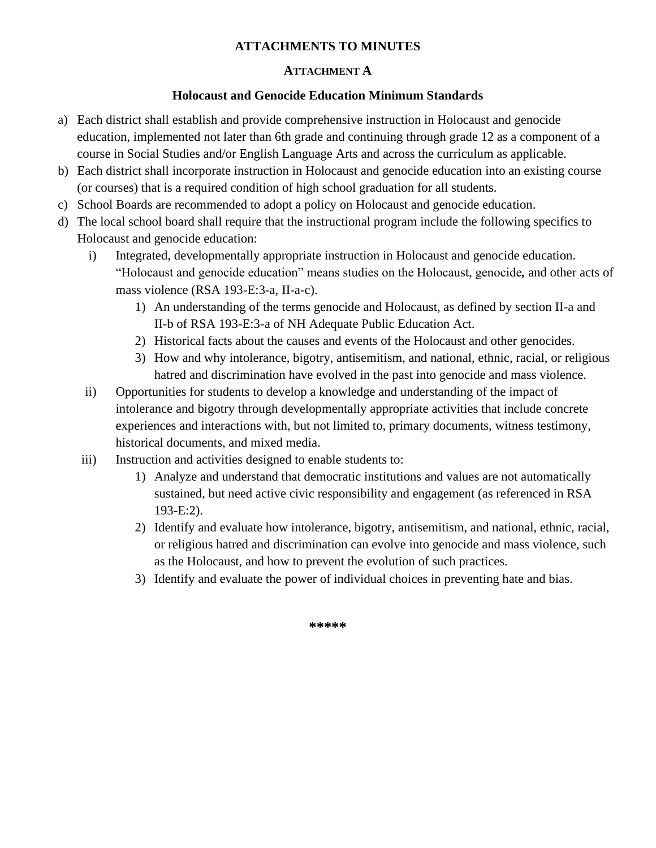#### **ATTACHMENTS TO MINUTES**

#### **ATTACHMENT A**

#### **Holocaust and Genocide Education Minimum Standards**

- a) Each district shall establish and provide comprehensive instruction in Holocaust and genocide education, implemented not later than 6th grade and continuing through grade 12 as a component of a course in Social Studies and/or English Language Arts and across the curriculum as applicable.
- b) Each district shall incorporate instruction in Holocaust and genocide education into an existing course (or courses) that is a required condition of high school graduation for all students.
- c) School Boards are recommended to adopt a policy on Holocaust and genocide education.
- d) The local school board shall require that the instructional program include the following specifics to Holocaust and genocide education:
	- i) Integrated, developmentally appropriate instruction in Holocaust and genocide education. "Holocaust and genocide education" means studies on the Holocaust, genocide*,* and other acts of mass violence (RSA 193-E:3-a, II-a-c).
		- 1) An understanding of the terms genocide and Holocaust, as defined by section II-a and II-b of RSA 193-E:3-a of NH Adequate Public Education Act.
		- 2) Historical facts about the causes and events of the Holocaust and other genocides.
		- 3) How and why intolerance, bigotry, antisemitism, and national, ethnic, racial, or religious hatred and discrimination have evolved in the past into genocide and mass violence.
	- ii) Opportunities for students to develop a knowledge and understanding of the impact of intolerance and bigotry through developmentally appropriate activities that include concrete experiences and interactions with, but not limited to, primary documents, witness testimony, historical documents, and mixed media.
	- iii) Instruction and activities designed to enable students to:
		- 1) Analyze and understand that democratic institutions and values are not automatically sustained, but need active civic responsibility and engagement (as referenced in RSA 193-E:2).
		- 2) Identify and evaluate how intolerance, bigotry, antisemitism, and national, ethnic, racial, or religious hatred and discrimination can evolve into genocide and mass violence, such as the Holocaust, and how to prevent the evolution of such practices.
		- 3) Identify and evaluate the power of individual choices in preventing hate and bias.

**\*\*\*\*\***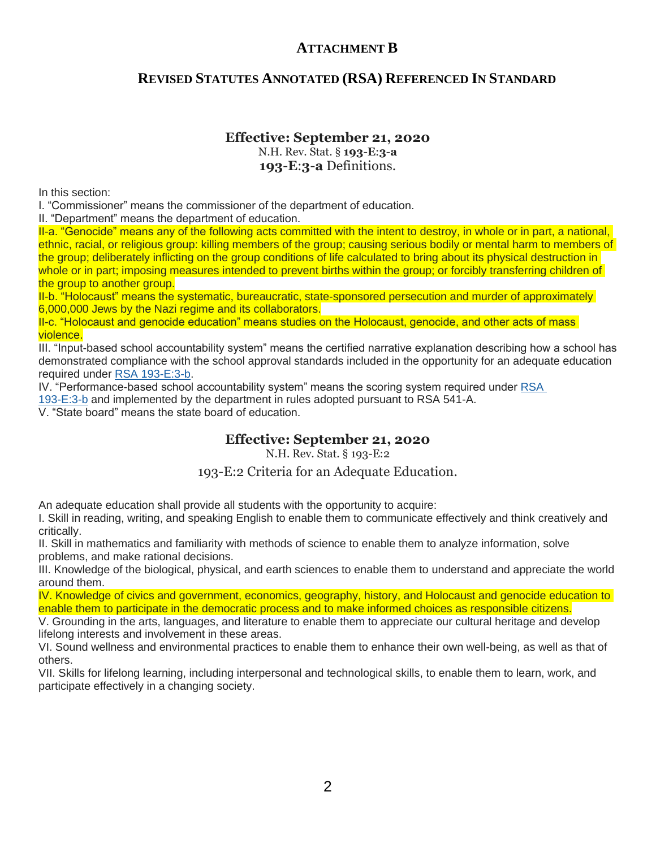## **ATTACHMENT B**

## **REVISED STATUTES ANNOTATED (RSA) REFERENCED IN STANDARD**

#### **Effective: September 21, 2020**

N.H. Rev. Stat. § **193**-**E**:**3**-**a 193**-**E**:**3**-**a** Definitions.

In this section:

I. "Commissioner" means the commissioner of the department of education.

II. "Department" means the department of education.

II-a. "Genocide" means any of the following acts committed with the intent to destroy, in whole or in part, a national, ethnic, racial, or religious group: killing members of the group; causing serious bodily or mental harm to members of the group; deliberately inflicting on the group conditions of life calculated to bring about its physical destruction in whole or in part; imposing measures intended to prevent births within the group; or forcibly transferring children of the group to another group.

II-b. "Holocaust" means the systematic, bureaucratic, state-sponsored persecution and murder of approximately 6,000,000 Jews by the Nazi regime and its collaborators.

II-c. "Holocaust and genocide education" means studies on the Holocaust, genocide, and other acts of mass violence.

III. "Input-based school accountability system" means the certified narrative explanation describing how a school has demonstrated compliance with the school approval standards included in the opportunity for an adequate education required under [RSA 193-E:3-b.](https://1.next.westlaw.com/Link/Document/FullText?findType=L&pubNum=1000864&cite=NHSTS193-E%3a3-B&originatingDoc=N11DB7E10D73411EA8863E7E29513B0BF&refType=LQ&originationContext=document&transitionType=DocumentItem&contextData=(sc.Search))

IV. "Performance-based school accountability system" means the scoring system required under [RSA](https://1.next.westlaw.com/Link/Document/FullText?findType=L&pubNum=1000864&cite=NHSTS193-E%3a3-B&originatingDoc=N11DB7E10D73411EA8863E7E29513B0BF&refType=LQ&originationContext=document&transitionType=DocumentItem&contextData=(sc.Search)) 

[193-E:3-b](https://1.next.westlaw.com/Link/Document/FullText?findType=L&pubNum=1000864&cite=NHSTS193-E%3a3-B&originatingDoc=N11DB7E10D73411EA8863E7E29513B0BF&refType=LQ&originationContext=document&transitionType=DocumentItem&contextData=(sc.Search)) and implemented by the department in rules adopted pursuant to RSA 541-A.

V. "State board" means the state board of education.

#### **Effective: September 21, 2020**

N.H. Rev. Stat. § 193-E:2

#### 193-E:2 Criteria for an Adequate Education.

An adequate education shall provide all students with the opportunity to acquire:

I. Skill in reading, writing, and speaking English to enable them to communicate effectively and think creatively and critically.

II. Skill in mathematics and familiarity with methods of science to enable them to analyze information, solve problems, and make rational decisions.

III. Knowledge of the biological, physical, and earth sciences to enable them to understand and appreciate the world around them.

IV. Knowledge of civics and government, economics, geography, history, and Holocaust and genocide education to enable them to participate in the democratic process and to make informed choices as responsible citizens.

V. Grounding in the arts, languages, and literature to enable them to appreciate our cultural heritage and develop lifelong interests and involvement in these areas.

VI. Sound wellness and environmental practices to enable them to enhance their own well-being, as well as that of others.

VII. Skills for lifelong learning, including interpersonal and technological skills, to enable them to learn, work, and participate effectively in a changing society.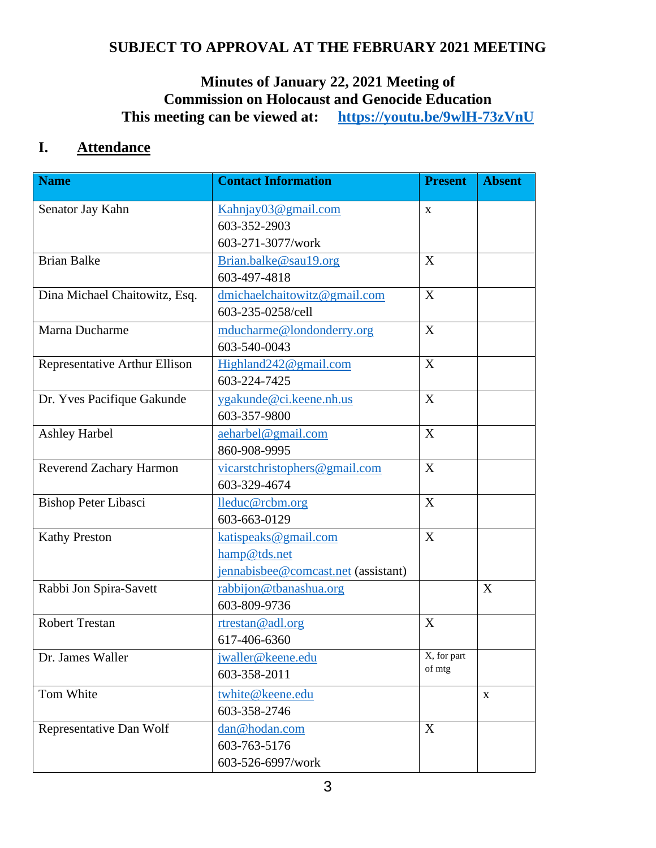## **SUBJECT TO APPROVAL AT THE FEBRUARY 2021 MEETING**

## **Minutes of January 22, 2021 Meeting of Commission on Holocaust and Genocide Education This meeting can be viewed at: <https://youtu.be/9wlH-73zVnU>**

## **I. Attendance**

| <b>Name</b>                   | <b>Contact Information</b>          | <b>Present</b> | <b>Absent</b> |
|-------------------------------|-------------------------------------|----------------|---------------|
| Senator Jay Kahn              | Kahnjay03@gmail.com                 | X              |               |
|                               | 603-352-2903                        |                |               |
|                               | 603-271-3077/work                   |                |               |
| <b>Brian Balke</b>            | Brian.balke@sau19.org               | X              |               |
|                               | 603-497-4818                        |                |               |
| Dina Michael Chaitowitz, Esq. | dmichaelchaitowitz@gmail.com        | X              |               |
|                               | 603-235-0258/cell                   |                |               |
| Marna Ducharme                | mducharme@londonderry.org           | X              |               |
|                               | 603-540-0043                        |                |               |
| Representative Arthur Ellison | Highland242@gmail.com               | X              |               |
|                               | 603-224-7425                        |                |               |
| Dr. Yves Pacifique Gakunde    | ygakunde@ci.keene.nh.us             | X              |               |
|                               | 603-357-9800                        |                |               |
| <b>Ashley Harbel</b>          | aeharbel@gmail.com                  | X              |               |
|                               | 860-908-9995                        |                |               |
| Reverend Zachary Harmon       | vicarstchristophers@gmail.com       | X              |               |
|                               | 603-329-4674                        |                |               |
| <b>Bishop Peter Libasci</b>   | lleduc@rcbm.org                     | X              |               |
|                               | 603-663-0129                        |                |               |
| <b>Kathy Preston</b>          | katispeaks@gmail.com                | X              |               |
|                               | hamp@tds.net                        |                |               |
|                               | jennabisbee@comcast.net (assistant) |                |               |
| Rabbi Jon Spira-Savett        | rabbijon@tbanashua.org              |                | X             |
|                               | 603-809-9736                        |                |               |
| <b>Robert Trestan</b>         | rtrestan@adl.org                    | X              |               |
|                               | 617-406-6360                        |                |               |
| Dr. James Waller              | jwaller@keene.edu                   | X, for part    |               |
|                               | 603-358-2011                        | of mtg         |               |
| Tom White                     | twhite@keene.edu                    |                | $\mathbf X$   |
|                               | 603-358-2746                        |                |               |
| Representative Dan Wolf       | dan@hodan.com                       | X              |               |
|                               | 603-763-5176                        |                |               |
|                               | 603-526-6997/work                   |                |               |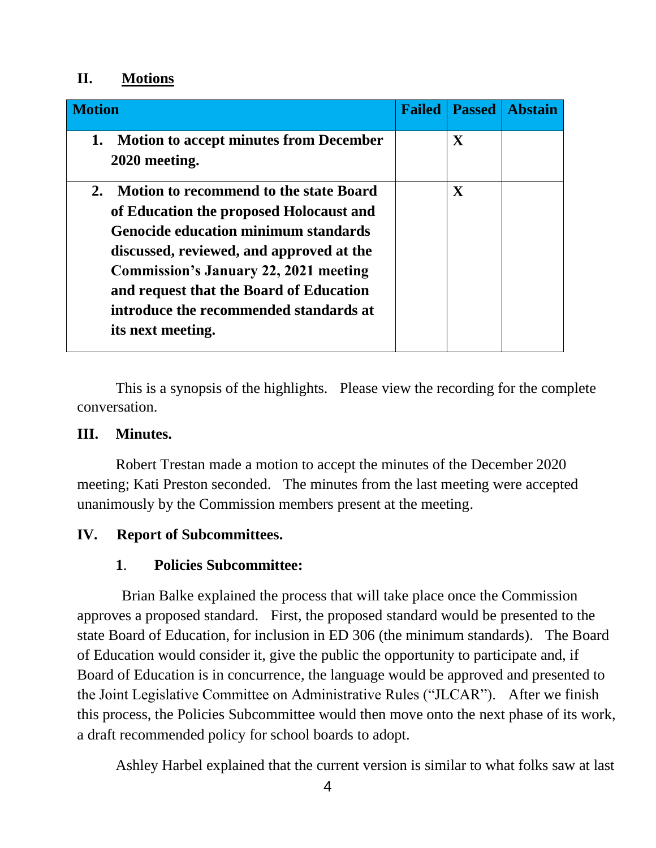## **II. Motions**

| <b>Motion</b>                                                                                                                                                                                                                                                                                                                                       | <b>Failed</b> | <b>Passed</b> | <b>Abstain</b> |
|-----------------------------------------------------------------------------------------------------------------------------------------------------------------------------------------------------------------------------------------------------------------------------------------------------------------------------------------------------|---------------|---------------|----------------|
| <b>Motion to accept minutes from December</b><br>1.<br>2020 meeting.                                                                                                                                                                                                                                                                                |               | $\mathbf X$   |                |
| <b>Motion to recommend to the state Board</b><br>2.<br>of Education the proposed Holocaust and<br><b>Genocide education minimum standards</b><br>discussed, reviewed, and approved at the<br><b>Commission's January 22, 2021 meeting</b><br>and request that the Board of Education<br>introduce the recommended standards at<br>its next meeting. |               | $\mathbf X$   |                |

This is a synopsis of the highlights. Please view the recording for the complete conversation.

## **III. Minutes.**

Robert Trestan made a motion to accept the minutes of the December 2020 meeting; Kati Preston seconded. The minutes from the last meeting were accepted unanimously by the Commission members present at the meeting.

## **IV. Report of Subcommittees.**

## **1**. **Policies Subcommittee:**

Brian Balke explained the process that will take place once the Commission approves a proposed standard. First, the proposed standard would be presented to the state Board of Education, for inclusion in ED 306 (the minimum standards). The Board of Education would consider it, give the public the opportunity to participate and, if Board of Education is in concurrence, the language would be approved and presented to the Joint Legislative Committee on Administrative Rules ("JLCAR"). After we finish this process, the Policies Subcommittee would then move onto the next phase of its work, a draft recommended policy for school boards to adopt.

Ashley Harbel explained that the current version is similar to what folks saw at last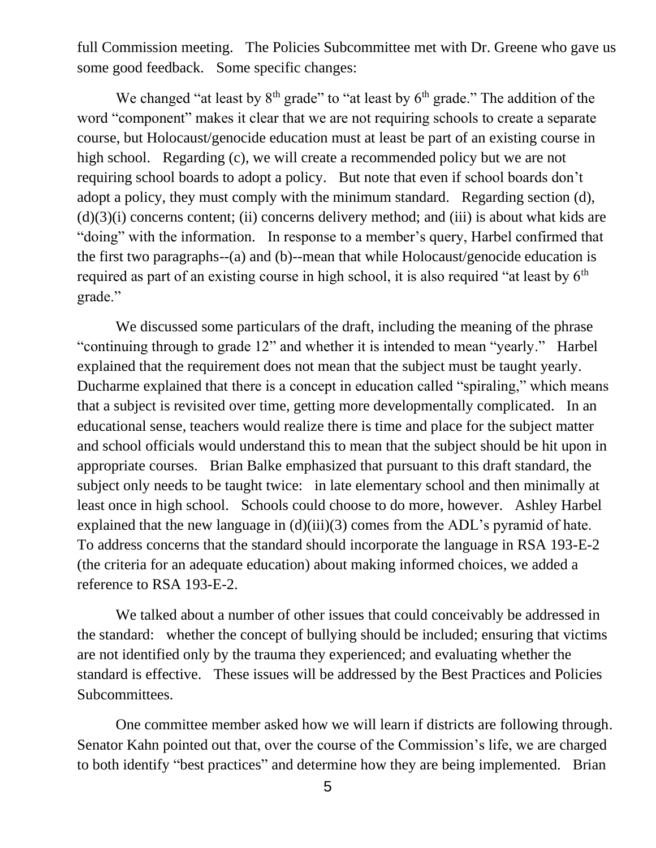full Commission meeting. The Policies Subcommittee met with Dr. Greene who gave us some good feedback. Some specific changes:

We changed "at least by  $8<sup>th</sup>$  grade" to "at least by  $6<sup>th</sup>$  grade." The addition of the word "component" makes it clear that we are not requiring schools to create a separate course, but Holocaust/genocide education must at least be part of an existing course in high school. Regarding (c), we will create a recommended policy but we are not requiring school boards to adopt a policy. But note that even if school boards don't adopt a policy, they must comply with the minimum standard. Regarding section (d),  $(d)(3)(i)$  concerns content; (ii) concerns delivery method; and (iii) is about what kids are "doing" with the information. In response to a member's query, Harbel confirmed that the first two paragraphs--(a) and (b)--mean that while Holocaust/genocide education is required as part of an existing course in high school, it is also required "at least by  $6<sup>th</sup>$ grade."

We discussed some particulars of the draft, including the meaning of the phrase "continuing through to grade 12" and whether it is intended to mean "yearly." Harbel explained that the requirement does not mean that the subject must be taught yearly. Ducharme explained that there is a concept in education called "spiraling," which means that a subject is revisited over time, getting more developmentally complicated. In an educational sense, teachers would realize there is time and place for the subject matter and school officials would understand this to mean that the subject should be hit upon in appropriate courses. Brian Balke emphasized that pursuant to this draft standard, the subject only needs to be taught twice: in late elementary school and then minimally at least once in high school. Schools could choose to do more, however. Ashley Harbel explained that the new language in (d)(iii)(3) comes from the ADL's pyramid of hate. To address concerns that the standard should incorporate the language in RSA 193-E-2 (the criteria for an adequate education) about making informed choices, we added a reference to RSA 193-E-2.

We talked about a number of other issues that could conceivably be addressed in the standard: whether the concept of bullying should be included; ensuring that victims are not identified only by the trauma they experienced; and evaluating whether the standard is effective. These issues will be addressed by the Best Practices and Policies Subcommittees.

One committee member asked how we will learn if districts are following through. Senator Kahn pointed out that, over the course of the Commission's life, we are charged to both identify "best practices" and determine how they are being implemented. Brian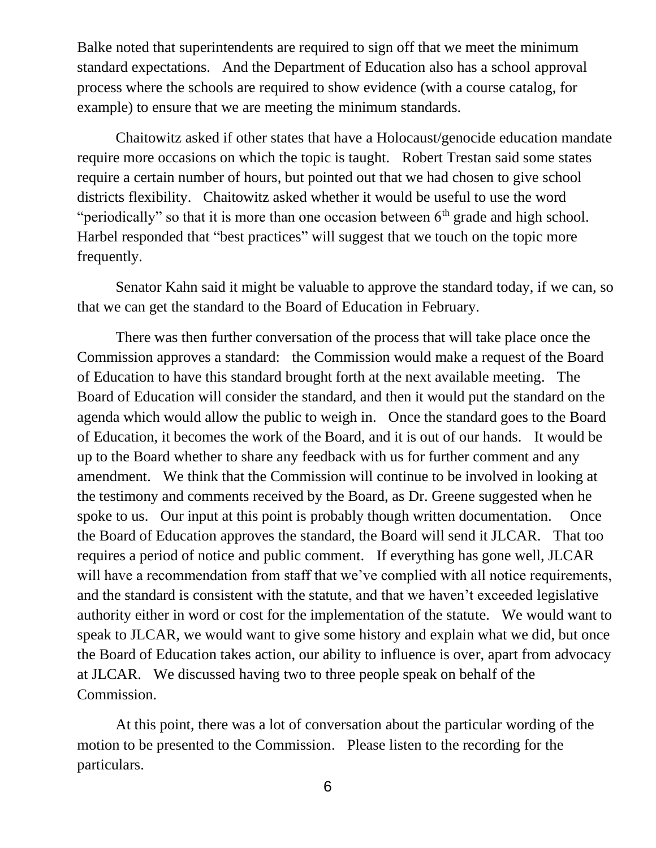Balke noted that superintendents are required to sign off that we meet the minimum standard expectations. And the Department of Education also has a school approval process where the schools are required to show evidence (with a course catalog, for example) to ensure that we are meeting the minimum standards.

Chaitowitz asked if other states that have a Holocaust/genocide education mandate require more occasions on which the topic is taught. Robert Trestan said some states require a certain number of hours, but pointed out that we had chosen to give school districts flexibility. Chaitowitz asked whether it would be useful to use the word "periodically" so that it is more than one occasion between  $6<sup>th</sup>$  grade and high school. Harbel responded that "best practices" will suggest that we touch on the topic more frequently.

Senator Kahn said it might be valuable to approve the standard today, if we can, so that we can get the standard to the Board of Education in February.

There was then further conversation of the process that will take place once the Commission approves a standard: the Commission would make a request of the Board of Education to have this standard brought forth at the next available meeting. The Board of Education will consider the standard, and then it would put the standard on the agenda which would allow the public to weigh in. Once the standard goes to the Board of Education, it becomes the work of the Board, and it is out of our hands. It would be up to the Board whether to share any feedback with us for further comment and any amendment. We think that the Commission will continue to be involved in looking at the testimony and comments received by the Board, as Dr. Greene suggested when he spoke to us. Our input at this point is probably though written documentation. Once the Board of Education approves the standard, the Board will send it JLCAR. That too requires a period of notice and public comment. If everything has gone well, JLCAR will have a recommendation from staff that we've complied with all notice requirements, and the standard is consistent with the statute, and that we haven't exceeded legislative authority either in word or cost for the implementation of the statute. We would want to speak to JLCAR, we would want to give some history and explain what we did, but once the Board of Education takes action, our ability to influence is over, apart from advocacy at JLCAR. We discussed having two to three people speak on behalf of the Commission.

At this point, there was a lot of conversation about the particular wording of the motion to be presented to the Commission. Please listen to the recording for the particulars.